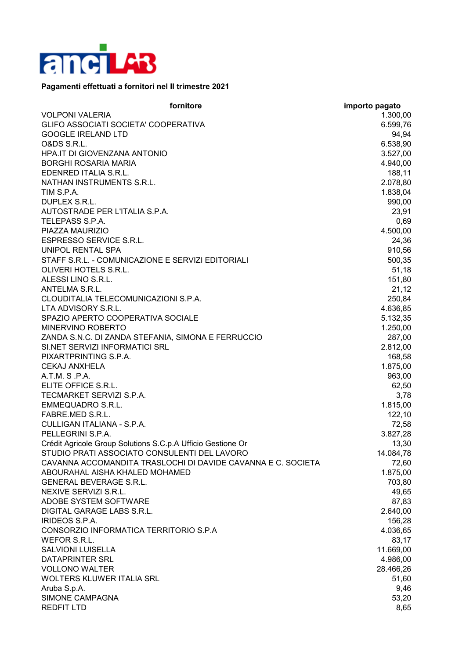

## **Pagamenti effettuati a fornitori nel II trimestre 2021**

| fornitore                                                    | importo pagato |
|--------------------------------------------------------------|----------------|
| <b>VOLPONI VALERIA</b>                                       | 1.300,00       |
| GLIFO ASSOCIATI SOCIETA' COOPERATIVA                         | 6.599,76       |
| <b>GOOGLE IRELAND LTD</b>                                    | 94,94          |
| <b>O&amp;DS S.R.L.</b>                                       | 6.538,90       |
| HPA.IT DI GIOVENZANA ANTONIO                                 | 3.527,00       |
| <b>BORGHI ROSARIA MARIA</b>                                  | 4.940,00       |
| EDENRED ITALIA S.R.L.                                        | 188,11         |
| NATHAN INSTRUMENTS S.R.L.                                    | 2.078,80       |
| TIM S.P.A.                                                   | 1.838,04       |
| DUPLEX S.R.L.                                                | 990,00         |
| AUTOSTRADE PER L'ITALIA S.P.A.                               | 23,91          |
| TELEPASS S.P.A.                                              | 0,69           |
| PIAZZA MAURIZIO                                              | 4.500,00       |
| ESPRESSO SERVICE S.R.L.                                      | 24,36          |
| UNIPOL RENTAL SPA                                            | 910,56         |
| STAFF S.R.L. - COMUNICAZIONE E SERVIZI EDITORIALI            | 500,35         |
| OLIVERI HOTELS S.R.L.                                        | 51,18          |
| ALESSI LINO S.R.L.                                           | 151,80         |
| ANTELMA S.R.L.                                               | 21,12          |
| CLOUDITALIA TELECOMUNICAZIONI S.P.A.                         | 250,84         |
| LTA ADVISORY S.R.L.                                          | 4.636,85       |
| SPAZIO APERTO COOPERATIVA SOCIALE                            | 5.132,35       |
| MINERVINO ROBERTO                                            | 1.250,00       |
| ZANDA S.N.C. DI ZANDA STEFANIA, SIMONA E FERRUCCIO           | 287,00         |
| SI.NET SERVIZI INFORMATICI SRL                               | 2.812,00       |
| PIXARTPRINTING S.P.A.                                        | 168,58         |
| <b>CEKAJ ANXHELA</b>                                         | 1.875,00       |
| A.T.M. S.P.A.                                                | 963,00         |
| ELITE OFFICE S.R.L.                                          | 62,50          |
| TECMARKET SERVIZI S.P.A.                                     | 3,78           |
| <b>EMMEQUADRO S.R.L.</b>                                     | 1.815,00       |
| FABRE.MED S.R.L.                                             | 122,10         |
| CULLIGAN ITALIANA - S.P.A.                                   | 72,58          |
| PELLEGRINI S.P.A.                                            | 3.827,28       |
| Crédit Agricole Group Solutions S.C.p.A Ufficio Gestione Or  | 13,30          |
| STUDIO PRATI ASSOCIATO CONSULENTI DEL LAVORO                 | 14.084,78      |
| CAVANNA ACCOMANDITA TRASLOCHI DI DAVIDE CAVANNA E C. SOCIETA | 72,60          |
| ABOURAHAL AISHA KHALED MOHAMED                               | 1.875,00       |
| <b>GENERAL BEVERAGE S.R.L.</b>                               | 703,80         |
| NEXIVE SERVIZI S.R.L.                                        | 49,65          |
| ADOBE SYSTEM SOFTWARE                                        | 87,83          |
| DIGITAL GARAGE LABS S.R.L.                                   | 2.640,00       |
| <b>IRIDEOS S.P.A.</b>                                        | 156,28         |
| CONSORZIO INFORMATICA TERRITORIO S.P.A                       | 4.036,65       |
| WEFOR S.R.L.                                                 | 83,17          |
| <b>SALVIONI LUISELLA</b>                                     | 11.669,00      |
| DATAPRINTER SRL                                              | 4.986,00       |
| <b>VOLLONO WALTER</b>                                        | 28.466,26      |
| WOLTERS KLUWER ITALIA SRL                                    | 51,60          |
| Aruba S.p.A.                                                 | 9,46           |
| SIMONE CAMPAGNA                                              | 53,20          |
| <b>REDFIT LTD</b>                                            | 8,65           |
|                                                              |                |